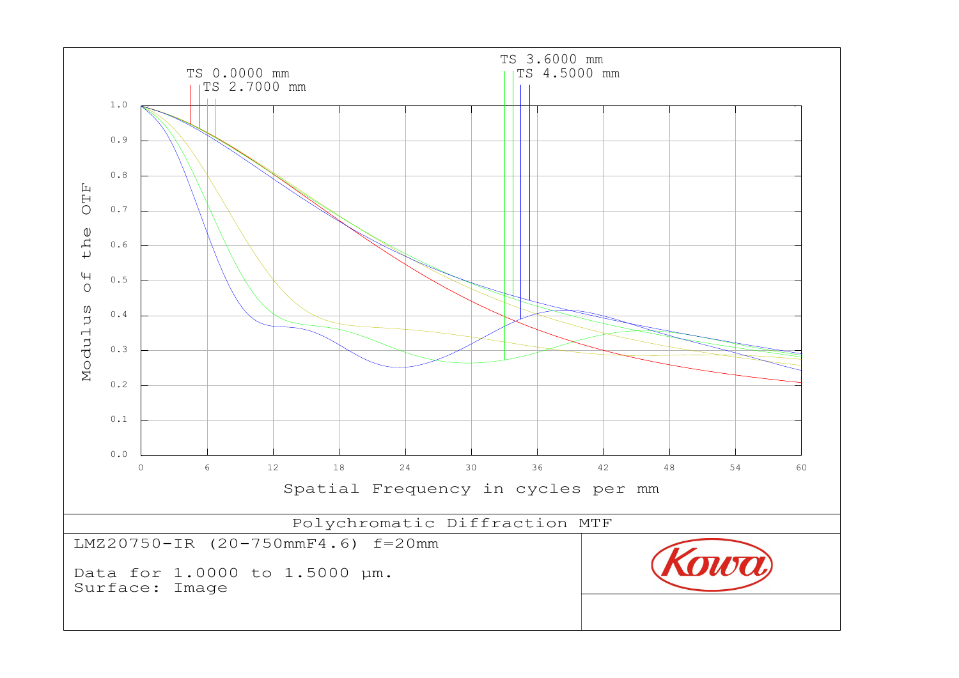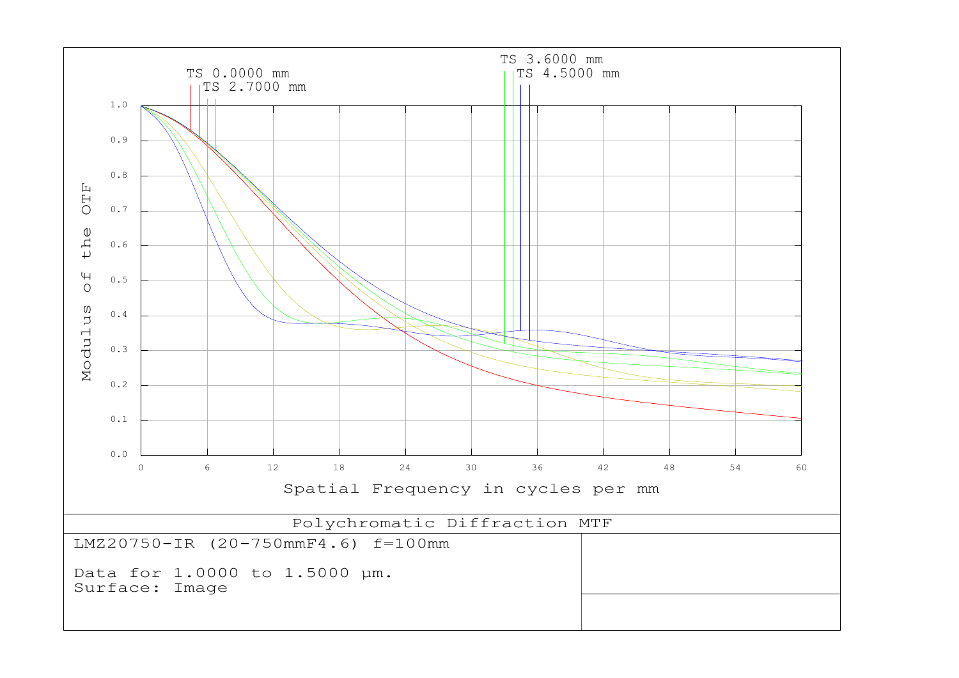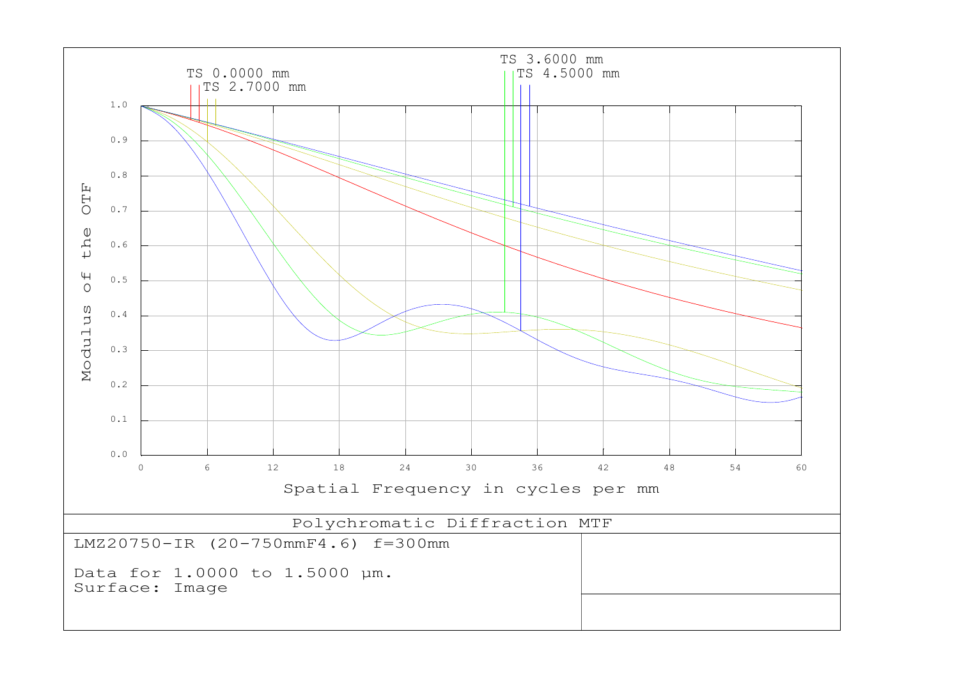